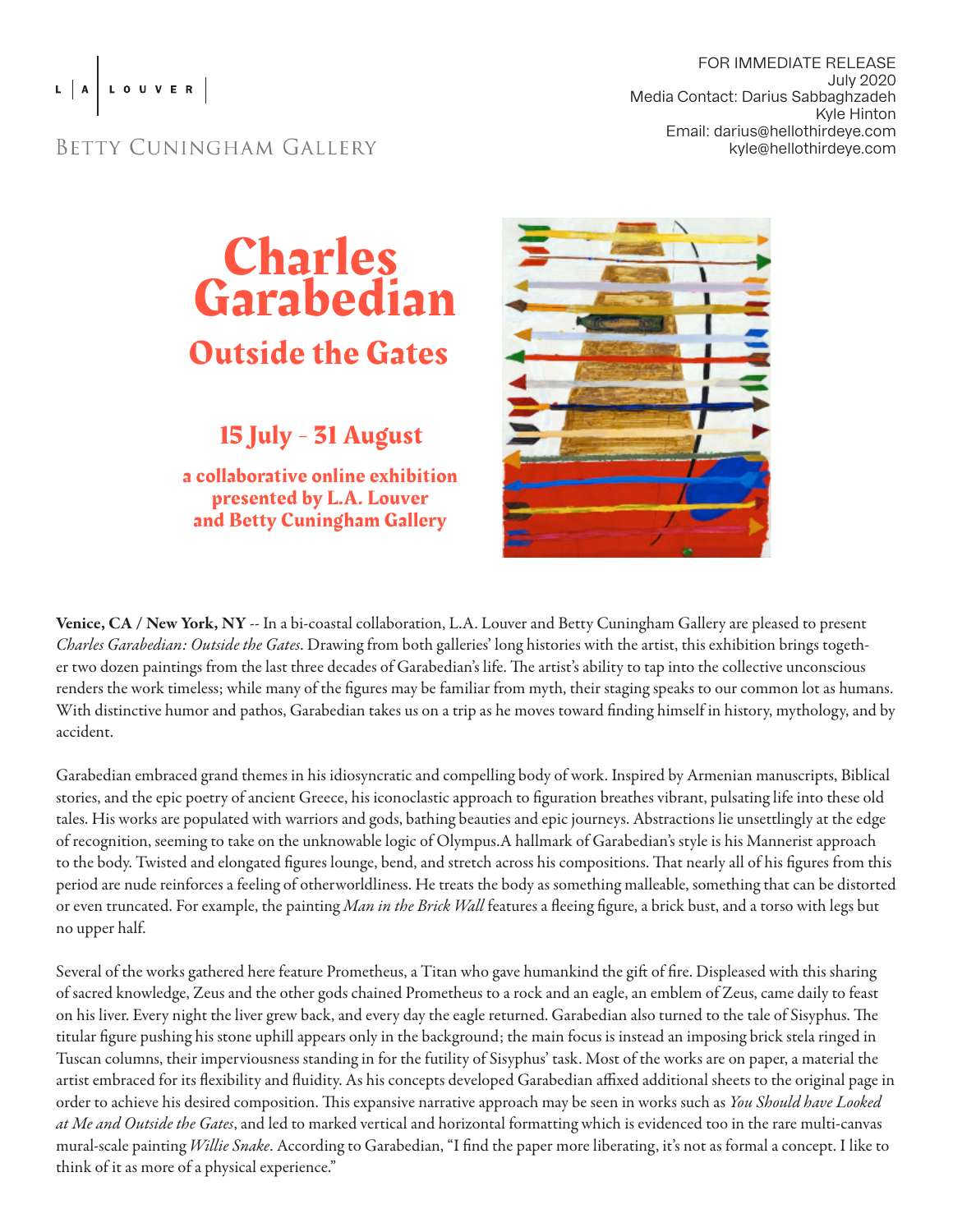## L A LOUVER

## FOR IMMEDIATE RELEASE July 2020 Media Contact: Darius Sabbaghzadeh Kyle Hinton Email: darius@hellothirdeye.com kyle@hellothirdeye.com

## BETTY CUNINGHAM GALLERY



15 July - 31 August

a collaborative online exhibition presented by L.A. Louver and Betty Cuningham Gallery



Venice, CA / New York, NY -- In a bi-coastal collaboration, L.A. Louver and Betty Cuningham Gallery are pleased to present *Charles Garabedian: Outside the Gates*. Drawing from both galleries' long histories with the artist, this exhibition brings together two dozen paintings from the last three decades of Garabedian's life. The artist's ability to tap into the collective unconscious renders the work timeless; while many of the figures may be familiar from myth, their staging speaks to our common lot as humans. With distinctive humor and pathos, Garabedian takes us on a trip as he moves toward finding himself in history, mythology, and by accident.

Garabedian embraced grand themes in his idiosyncratic and compelling body of work. Inspired by Armenian manuscripts, Biblical stories, and the epic poetry of ancient Greece, his iconoclastic approach to figuration breathes vibrant, pulsating life into these old tales. His works are populated with warriors and gods, bathing beauties and epic journeys. Abstractions lie unsettlingly at the edge of recognition, seeming to take on the unknowable logic of Olympus.A hallmark of Garabedian's style is his Mannerist approach to the body. Twisted and elongated figures lounge, bend, and stretch across his compositions. That nearly all of his figures from this period are nude reinforces a feeling of otherworldliness. He treats the body as something malleable, something that can be distorted or even truncated. For example, the painting *Man in the Brick Wall* features a fleeing figure, a brick bust, and a torso with legs but no upper half.

Several of the works gathered here feature Prometheus, a Titan who gave humankind the gift of fire. Displeased with this sharing of sacred knowledge, Zeus and the other gods chained Prometheus to a rock and an eagle, an emblem of Zeus, came daily to feast on his liver. Every night the liver grew back, and every day the eagle returned. Garabedian also turned to the tale of Sisyphus. The titular figure pushing his stone uphill appears only in the background; the main focus is instead an imposing brick stela ringed in Tuscan columns, their imperviousness standing in for the futility of Sisyphus' task. Most of the works are on paper, a material the artist embraced for its flexibility and fluidity. As his concepts developed Garabedian affixed additional sheets to the original page in order to achieve his desired composition. This expansive narrative approach may be seen in works such as *You Should have Looked at Me and Outside the Gates*, and led to marked vertical and horizontal formatting which is evidenced too in the rare multi-canvas mural-scale painting *Willie Snake*. According to Garabedian, "I find the paper more liberating, it's not as formal a concept. I like to think of it as more of a physical experience."